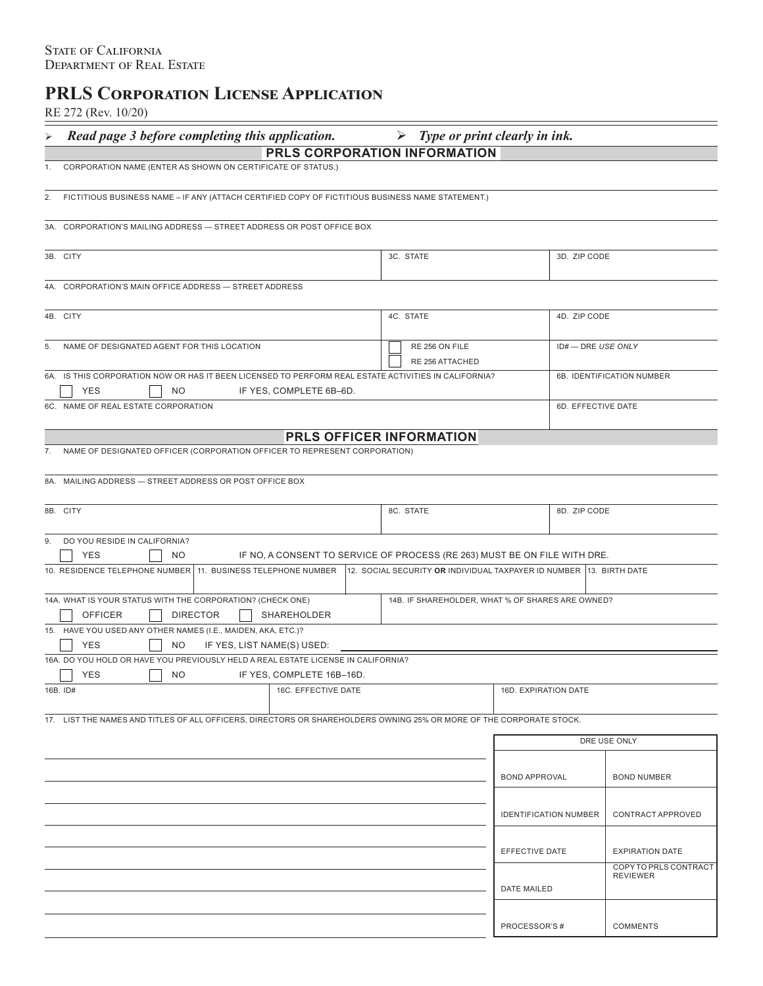# **PRLS Corporation License Application**

RE 272 (Rev. 10/20)

| $102212$ (1007. 10/20)                                                                                                |                                                                     |                              |                                          |  |  |  |
|-----------------------------------------------------------------------------------------------------------------------|---------------------------------------------------------------------|------------------------------|------------------------------------------|--|--|--|
| Read page 3 before completing this application.<br>⋗                                                                  | $\triangleright$ Type or print clearly in ink.                      |                              |                                          |  |  |  |
|                                                                                                                       | PRLS CORPORATION INFORMATION                                        |                              |                                          |  |  |  |
| CORPORATION NAME (ENTER AS SHOWN ON CERTIFICATE OF STATUS.)<br>1.                                                     |                                                                     |                              |                                          |  |  |  |
| FICTITIOUS BUSINESS NAME - IF ANY (ATTACH CERTIFIED COPY OF FICTITIOUS BUSINESS NAME STATEMENT.)<br>2.                |                                                                     |                              |                                          |  |  |  |
| 3A. CORPORATION'S MAILING ADDRESS - STREET ADDRESS OR POST OFFICE BOX                                                 |                                                                     |                              |                                          |  |  |  |
| 3B. CITY                                                                                                              | 3C. STATE                                                           | 3D. ZIP CODE                 |                                          |  |  |  |
| 4A. CORPORATION'S MAIN OFFICE ADDRESS - STREET ADDRESS                                                                |                                                                     |                              |                                          |  |  |  |
| 4B. CITY                                                                                                              | 4C. STATE<br>4D. ZIP CODE                                           |                              |                                          |  |  |  |
| NAME OF DESIGNATED AGENT FOR THIS LOCATION<br>RE 256 ON FILE                                                          |                                                                     | ID#-DRE USE ONLY             |                                          |  |  |  |
| 6A. IS THIS CORPORATION NOW OR HAS IT BEEN LICENSED TO PERFORM REAL ESTATE ACTIVITIES IN CALIFORNIA?                  | <b>RE 256 ATTACHED</b>                                              | 6B. IDENTIFICATION NUMBER    |                                          |  |  |  |
| <b>YES</b><br>NO.<br>IF YES, COMPLETE 6B-6D.                                                                          |                                                                     |                              |                                          |  |  |  |
| 6C. NAME OF REAL ESTATE CORPORATION                                                                                   |                                                                     |                              | 6D. EFFECTIVE DATE                       |  |  |  |
|                                                                                                                       | PRLS OFFICER INFORMATION                                            |                              |                                          |  |  |  |
| NAME OF DESIGNATED OFFICER (CORPORATION OFFICER TO REPRESENT CORPORATION)<br>7.                                       |                                                                     |                              |                                          |  |  |  |
|                                                                                                                       |                                                                     |                              |                                          |  |  |  |
| 8A. MAILING ADDRESS - STREET ADDRESS OR POST OFFICE BOX                                                               |                                                                     |                              |                                          |  |  |  |
| 8B. CITY<br>8C. STATE                                                                                                 |                                                                     | 8D. ZIP CODE                 |                                          |  |  |  |
| DO YOU RESIDE IN CALIFORNIA?<br>9.                                                                                    |                                                                     |                              |                                          |  |  |  |
| <b>YES</b><br><b>NO</b><br>IF NO, A CONSENT TO SERVICE OF PROCESS (RE 263) MUST BE ON FILE WITH DRE.                  |                                                                     |                              |                                          |  |  |  |
| 10. RESIDENCE TELEPHONE NUMBER 11. BUSINESS TELEPHONE NUMBER                                                          | 12. SOCIAL SECURITY OR INDIVIDUAL TAXPAYER ID NUMBER 13. BIRTH DATE |                              |                                          |  |  |  |
| 14A. WHAT IS YOUR STATUS WITH THE CORPORATION? (CHECK ONE)<br>14B. IF SHAREHOLDER, WHAT % OF SHARES ARE OWNED?        |                                                                     |                              |                                          |  |  |  |
| <b>OFFICER</b><br><b>DIRECTOR</b><br>SHAREHOLDER                                                                      |                                                                     |                              |                                          |  |  |  |
| 15. HAVE YOU USED ANY OTHER NAMES (I.E., MAIDEN, AKA, ETC.)?<br><b>YES</b><br><b>NO</b><br>IF YES, LIST NAME(S) USED: |                                                                     |                              |                                          |  |  |  |
| 16A. DO YOU HOLD OR HAVE YOU PREVIOUSLY HELD A REAL ESTATE LICENSE IN CALIFORNIA?                                     |                                                                     |                              |                                          |  |  |  |
| NO IF YES, COMPLETE 16B-16D.<br>$\Box$ YES                                                                            |                                                                     |                              |                                          |  |  |  |
| 16B. ID#<br>16C. EFFECTIVE DATE                                                                                       |                                                                     | 16D. EXPIRATION DATE         |                                          |  |  |  |
| 17. LIST THE NAMES AND TITLES OF ALL OFFICERS, DIRECTORS OR SHAREHOLDERS OWNING 25% OR MORE OF THE CORPORATE STOCK.   |                                                                     |                              |                                          |  |  |  |
|                                                                                                                       |                                                                     |                              | DRE USE ONLY                             |  |  |  |
|                                                                                                                       |                                                                     |                              |                                          |  |  |  |
|                                                                                                                       |                                                                     | <b>BOND APPROVAL</b>         | <b>BOND NUMBER</b>                       |  |  |  |
|                                                                                                                       |                                                                     | <b>IDENTIFICATION NUMBER</b> | CONTRACT APPROVED                        |  |  |  |
|                                                                                                                       |                                                                     | EFFECTIVE DATE               | <b>EXPIRATION DATE</b>                   |  |  |  |
|                                                                                                                       |                                                                     |                              | COPY TO PRLS CONTRACT<br><b>REVIEWER</b> |  |  |  |
|                                                                                                                       |                                                                     | <b>DATE MAILED</b>           |                                          |  |  |  |
|                                                                                                                       |                                                                     | PROCESSOR'S#                 | <b>COMMENTS</b>                          |  |  |  |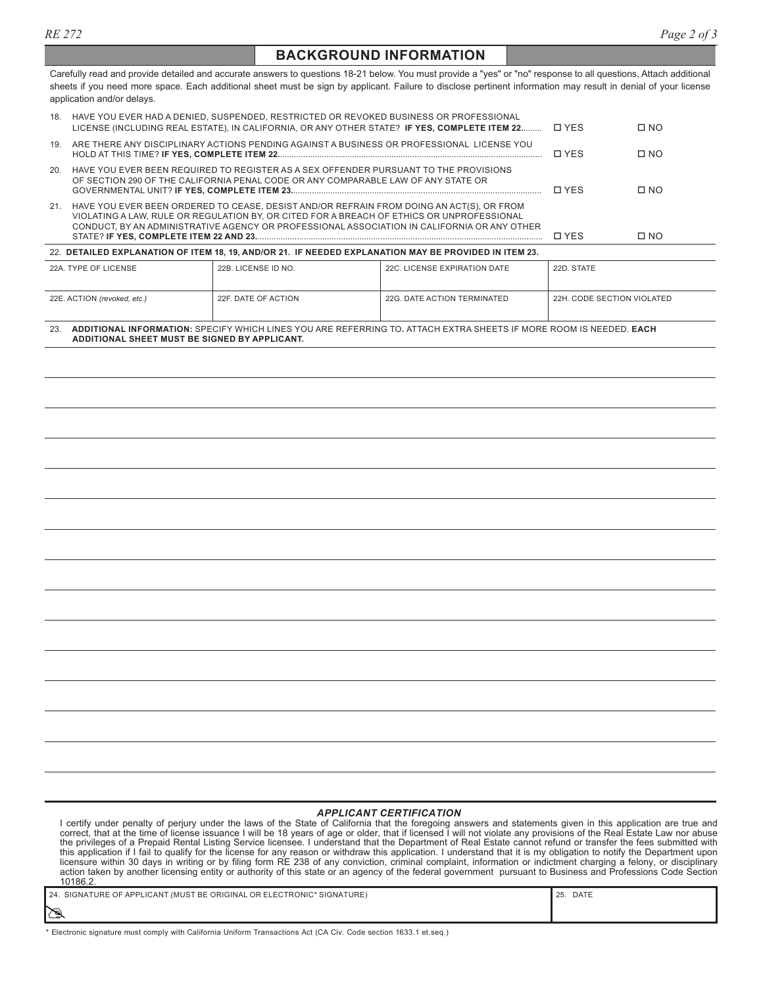## **BACKGROUND INFORMATION**

Carefully read and provide detailed and accurate answers to questions 18-21 below. You must provide a "yes" or "no" response to all questions, Attach additional sheets if you need more space. Each additional sheet must be sign by applicant. Failure to disclose pertinent information may result in denial of your license application and/or delays.

|                                                                                                       | 22E. ACTION (revoked, etc.) | 22F, DATE OF ACTION                                                                                                                                                                                                                                                                  | 22G. DATE ACTION TERMINATED  | 22H, CODE SECTION VIOLATED |           |  |  |
|-------------------------------------------------------------------------------------------------------|-----------------------------|--------------------------------------------------------------------------------------------------------------------------------------------------------------------------------------------------------------------------------------------------------------------------------------|------------------------------|----------------------------|-----------|--|--|
|                                                                                                       | 22A. TYPE OF LICENSE        | 22B. LICENSE ID NO.                                                                                                                                                                                                                                                                  | 22C. LICENSE EXPIRATION DATE | 22D. STATE                 |           |  |  |
| 22. DETAILED EXPLANATION OF ITEM 18, 19, AND/OR 21. IF NEEDED EXPLANATION MAY BE PROVIDED IN ITEM 23. |                             |                                                                                                                                                                                                                                                                                      |                              |                            |           |  |  |
| 21.                                                                                                   |                             | HAVE YOU EVER BEEN ORDERED TO CEASE, DESIST AND/OR REFRAIN FROM DOING AN ACT(S), OR FROM<br>VIOLATING A LAW, RULE OR REGULATION BY, OR CITED FOR A BREACH OF ETHICS OR UNPROFESSIONAL<br>CONDUCT, BY AN ADMINISTRATIVE AGENCY OR PROFESSIONAL ASSOCIATION IN CALIFORNIA OR ANY OTHER | <b>D</b> YFS                 | $\Box$ NO                  |           |  |  |
| 20.                                                                                                   |                             | HAVE YOU EVER BEEN REQUIRED TO REGISTER AS A SEX OFFENDER PURSUANT TO THE PROVISIONS<br>OF SECTION 290 OF THE CALIFORNIA PENAL CODE OR ANY COMPARABLE LAW OF ANY STATE OR                                                                                                            |                              | <b>D</b> YFS               | $\Box$ NO |  |  |
| 19.                                                                                                   |                             | ARE THERE ANY DISCIPLINARY ACTIONS PENDING AGAINST A BUSINESS OR PROFESSIONAL LICENSE YOU                                                                                                                                                                                            |                              | □ YES                      | $\Box$ NO |  |  |
| 18.                                                                                                   |                             | HAVE YOU EVER HAD A DENIED, SUSPENDED, RESTRICTED OR REVOKED BUSINESS OR PROFESSIONAL<br>LICENSE (INCLUDING REAL ESTATE), IN CALIFORNIA, OR ANY OTHER STATE? IF YES, COMPLETE ITEM 22                                                                                                |                              | <b>D</b> YFS               | $\Box$ NO |  |  |

23. **ADDITIONAL INFORMATION:** SPECIFY WHICH LINES YOU ARE REFERRING TO**.** ATTACH EXTRA SHEETS IF MORE ROOM IS NEEDED. **EACH ADDITIONAL SHEET MUST BE SIGNED BY APPLICANT.**

#### *APPLICANT CERTIFICATION*

I certify under penalty of perjury under the laws of the State of California that the foregoing answers and statements given in this application are true and<br>correct, that at the time of license issuance I will be 18 years the privileges of a Prepaid Rental Listing Service licensee. I understand that the Department of Real Estate cannot refund or transfer the fees submitted with<br>this application if I fail to qualify for the license for any r licensure within 30 days in writing or by filing form RE 238 of any conviction, criminal complaint, information or indictment charging a felony, or disciplinary<br>action taken by another licensing entity or authority of this 10186.2.

|           | .                                                                      |                      |
|-----------|------------------------------------------------------------------------|----------------------|
|           | 24. SIGNATURE OF APPLICANT (MUST BE ORIGINAL OR ELECTRONIC* SIGNATURE) | $\parallel$ 25. DATE |
| $\approx$ |                                                                        |                      |

\* Electronic signature must comply with California Uniform Transactions Act (CA Civ. Code section 1633.1 et.seq.)